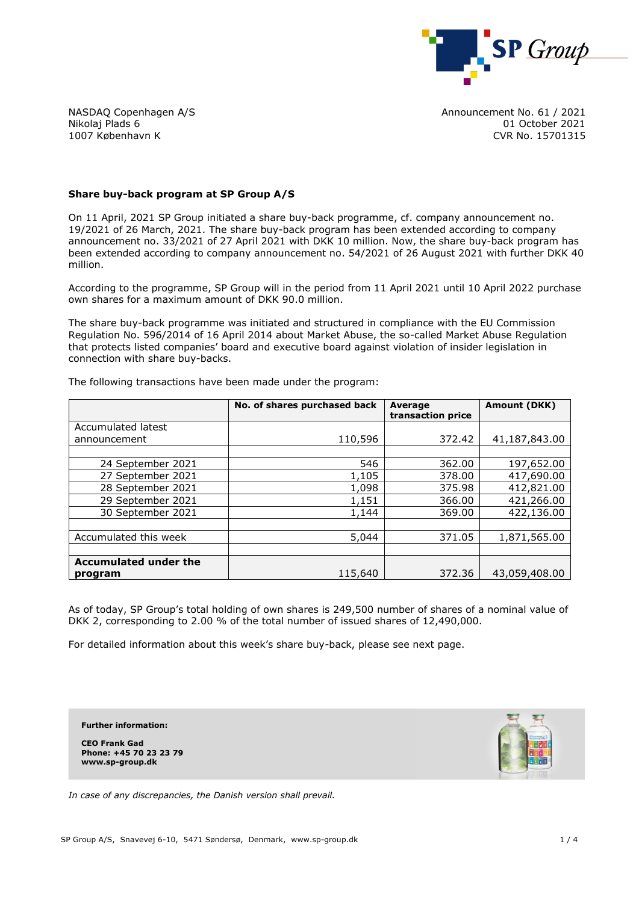

NASDAQ Copenhagen A/S Nikolaj Plads 6 1007 København K

Announcement No. 61 / 2021 01 October 2021 CVR No. 15701315

## **Share buy-back program at SP Group A/S**

On 11 April, 2021 SP Group initiated a share buy-back programme, cf. company announcement no. 19/2021 of 26 March, 2021. The share buy-back program has been extended according to company announcement no. 33/2021 of 27 April 2021 with DKK 10 million. Now, the share buy-back program has been extended according to company announcement no. 54/2021 of 26 August 2021 with further DKK 40 million.

According to the programme, SP Group will in the period from 11 April 2021 until 10 April 2022 purchase own shares for a maximum amount of DKK 90.0 million.

The share buy-back programme was initiated and structured in compliance with the EU Commission Regulation No. 596/2014 of 16 April 2014 about Market Abuse, the so-called Market Abuse Regulation that protects listed companies' board and executive board against violation of insider legislation in connection with share buy-backs.

|                                         | No. of shares purchased back | Average<br>transaction price | <b>Amount (DKK)</b> |
|-----------------------------------------|------------------------------|------------------------------|---------------------|
| Accumulated latest                      |                              |                              |                     |
| announcement                            | 110,596                      | 372.42                       | 41,187,843.00       |
|                                         |                              |                              |                     |
| 24 September 2021                       | 546                          | 362.00                       | 197,652.00          |
| 27 September 2021                       | 1,105                        | 378.00                       | 417,690.00          |
| 28 September 2021                       | 1,098                        | 375.98                       | 412,821.00          |
| 29 September 2021                       | 1,151                        | 366.00                       | 421,266.00          |
| 30 September 2021                       | 1,144                        | 369.00                       | 422,136.00          |
|                                         |                              |                              |                     |
| Accumulated this week                   | 5,044                        | 371.05                       | 1,871,565.00        |
|                                         |                              |                              |                     |
| <b>Accumulated under the</b><br>program | 115,640                      | 372.36                       | 43,059,408.00       |

The following transactions have been made under the program:

As of today, SP Group's total holding of own shares is 249,500 number of shares of a nominal value of DKK 2, corresponding to 2.00 % of the total number of issued shares of 12,490,000.

For detailed information about this week's share buy-back, please see next page.

**Further information:**

**CEO Frank Gad Phone: +45 70 23 23 79 www.sp-group.dk**



*In case of any discrepancies, the Danish version shall prevail.*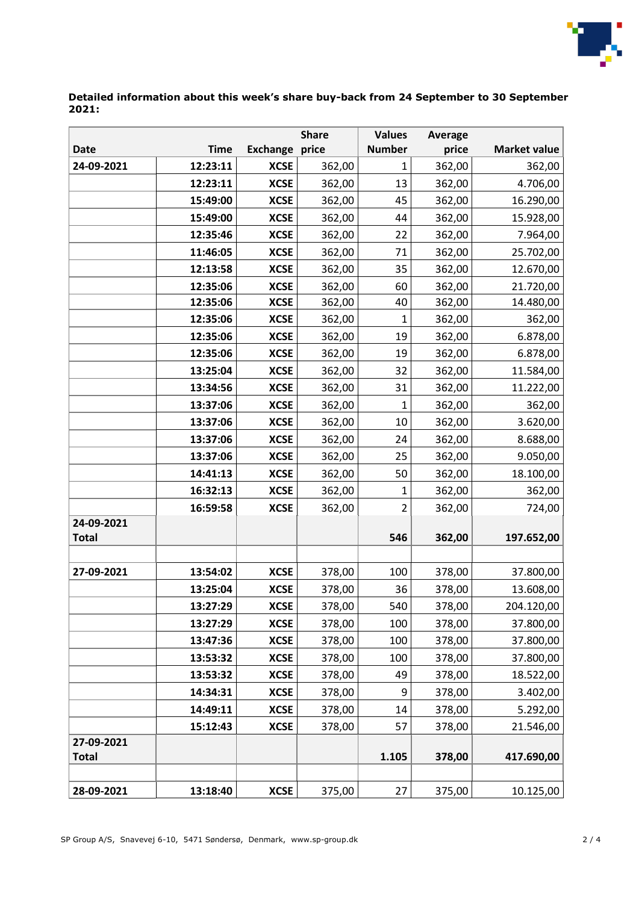

## **Detailed information about this week's share buy-back from 24 September to 30 September 2021:**

| <b>Number</b><br><b>Time</b><br><b>Exchange</b><br>price<br>price<br><b>Market value</b><br><b>Date</b><br>24-09-2021<br>12:23:11<br><b>XCSE</b><br>362,00<br>362,00<br>362,00<br>1<br>12:23:11<br><b>XCSE</b><br>362,00<br>13<br>362,00<br>4.706,00<br>15:49:00<br><b>XCSE</b><br>362,00<br>45<br>362,00<br>16.290,00<br>15:49:00<br><b>XCSE</b><br>362,00<br>362,00<br>15.928,00<br>44<br>12:35:46<br><b>XCSE</b><br>362,00<br>22<br>362,00<br>7.964,00<br>11:46:05<br><b>XCSE</b><br>362,00<br>362,00<br>25.702,00<br>71<br>12:13:58<br><b>XCSE</b><br>362,00<br>35<br>362,00<br>12.670,00<br>12:35:06<br><b>XCSE</b><br>362,00<br>21.720,00<br>362,00<br>60<br><b>XCSE</b><br>12:35:06<br>362,00<br>362,00<br>14.480,00<br>40<br>12:35:06<br><b>XCSE</b><br>362,00<br>362,00<br>362,00<br>1<br>12:35:06<br><b>XCSE</b><br>362,00<br>19<br>362,00<br>6.878,00<br><b>XCSE</b><br>362,00<br>12:35:06<br>19<br>362,00<br>6.878,00<br>13:25:04<br><b>XCSE</b><br>11.584,00<br>362,00<br>32<br>362,00<br>13:34:56<br><b>XCSE</b><br>362,00<br>31<br>362,00<br>11.222,00<br><b>XCSE</b><br>362,00<br>13:37:06<br>362,00<br>362,00<br>$\mathbf{1}$<br>13:37:06<br><b>XCSE</b><br>362,00<br>10<br>362,00<br>3.620,00<br>13:37:06<br><b>XCSE</b><br>362,00<br>362,00<br>8.688,00<br>24<br>362,00<br>25<br>13:37:06<br><b>XCSE</b><br>362,00<br>9.050,00<br>14:41:13<br>362,00<br>18.100,00<br><b>XCSE</b><br>50<br>362,00<br>16:32:13<br><b>XCSE</b><br>362,00<br>362,00<br>1<br>362,00<br>16:59:58<br><b>XCSE</b><br>362,00<br>$\overline{2}$<br>362,00<br>724,00<br>24-09-2021 |
|----------------------------------------------------------------------------------------------------------------------------------------------------------------------------------------------------------------------------------------------------------------------------------------------------------------------------------------------------------------------------------------------------------------------------------------------------------------------------------------------------------------------------------------------------------------------------------------------------------------------------------------------------------------------------------------------------------------------------------------------------------------------------------------------------------------------------------------------------------------------------------------------------------------------------------------------------------------------------------------------------------------------------------------------------------------------------------------------------------------------------------------------------------------------------------------------------------------------------------------------------------------------------------------------------------------------------------------------------------------------------------------------------------------------------------------------------------------------------------------------------------------------------------------------------------------------------|
|                                                                                                                                                                                                                                                                                                                                                                                                                                                                                                                                                                                                                                                                                                                                                                                                                                                                                                                                                                                                                                                                                                                                                                                                                                                                                                                                                                                                                                                                                                                                                                            |
|                                                                                                                                                                                                                                                                                                                                                                                                                                                                                                                                                                                                                                                                                                                                                                                                                                                                                                                                                                                                                                                                                                                                                                                                                                                                                                                                                                                                                                                                                                                                                                            |
|                                                                                                                                                                                                                                                                                                                                                                                                                                                                                                                                                                                                                                                                                                                                                                                                                                                                                                                                                                                                                                                                                                                                                                                                                                                                                                                                                                                                                                                                                                                                                                            |
|                                                                                                                                                                                                                                                                                                                                                                                                                                                                                                                                                                                                                                                                                                                                                                                                                                                                                                                                                                                                                                                                                                                                                                                                                                                                                                                                                                                                                                                                                                                                                                            |
|                                                                                                                                                                                                                                                                                                                                                                                                                                                                                                                                                                                                                                                                                                                                                                                                                                                                                                                                                                                                                                                                                                                                                                                                                                                                                                                                                                                                                                                                                                                                                                            |
|                                                                                                                                                                                                                                                                                                                                                                                                                                                                                                                                                                                                                                                                                                                                                                                                                                                                                                                                                                                                                                                                                                                                                                                                                                                                                                                                                                                                                                                                                                                                                                            |
|                                                                                                                                                                                                                                                                                                                                                                                                                                                                                                                                                                                                                                                                                                                                                                                                                                                                                                                                                                                                                                                                                                                                                                                                                                                                                                                                                                                                                                                                                                                                                                            |
|                                                                                                                                                                                                                                                                                                                                                                                                                                                                                                                                                                                                                                                                                                                                                                                                                                                                                                                                                                                                                                                                                                                                                                                                                                                                                                                                                                                                                                                                                                                                                                            |
|                                                                                                                                                                                                                                                                                                                                                                                                                                                                                                                                                                                                                                                                                                                                                                                                                                                                                                                                                                                                                                                                                                                                                                                                                                                                                                                                                                                                                                                                                                                                                                            |
|                                                                                                                                                                                                                                                                                                                                                                                                                                                                                                                                                                                                                                                                                                                                                                                                                                                                                                                                                                                                                                                                                                                                                                                                                                                                                                                                                                                                                                                                                                                                                                            |
|                                                                                                                                                                                                                                                                                                                                                                                                                                                                                                                                                                                                                                                                                                                                                                                                                                                                                                                                                                                                                                                                                                                                                                                                                                                                                                                                                                                                                                                                                                                                                                            |
|                                                                                                                                                                                                                                                                                                                                                                                                                                                                                                                                                                                                                                                                                                                                                                                                                                                                                                                                                                                                                                                                                                                                                                                                                                                                                                                                                                                                                                                                                                                                                                            |
|                                                                                                                                                                                                                                                                                                                                                                                                                                                                                                                                                                                                                                                                                                                                                                                                                                                                                                                                                                                                                                                                                                                                                                                                                                                                                                                                                                                                                                                                                                                                                                            |
|                                                                                                                                                                                                                                                                                                                                                                                                                                                                                                                                                                                                                                                                                                                                                                                                                                                                                                                                                                                                                                                                                                                                                                                                                                                                                                                                                                                                                                                                                                                                                                            |
|                                                                                                                                                                                                                                                                                                                                                                                                                                                                                                                                                                                                                                                                                                                                                                                                                                                                                                                                                                                                                                                                                                                                                                                                                                                                                                                                                                                                                                                                                                                                                                            |
|                                                                                                                                                                                                                                                                                                                                                                                                                                                                                                                                                                                                                                                                                                                                                                                                                                                                                                                                                                                                                                                                                                                                                                                                                                                                                                                                                                                                                                                                                                                                                                            |
|                                                                                                                                                                                                                                                                                                                                                                                                                                                                                                                                                                                                                                                                                                                                                                                                                                                                                                                                                                                                                                                                                                                                                                                                                                                                                                                                                                                                                                                                                                                                                                            |
|                                                                                                                                                                                                                                                                                                                                                                                                                                                                                                                                                                                                                                                                                                                                                                                                                                                                                                                                                                                                                                                                                                                                                                                                                                                                                                                                                                                                                                                                                                                                                                            |
|                                                                                                                                                                                                                                                                                                                                                                                                                                                                                                                                                                                                                                                                                                                                                                                                                                                                                                                                                                                                                                                                                                                                                                                                                                                                                                                                                                                                                                                                                                                                                                            |
|                                                                                                                                                                                                                                                                                                                                                                                                                                                                                                                                                                                                                                                                                                                                                                                                                                                                                                                                                                                                                                                                                                                                                                                                                                                                                                                                                                                                                                                                                                                                                                            |
|                                                                                                                                                                                                                                                                                                                                                                                                                                                                                                                                                                                                                                                                                                                                                                                                                                                                                                                                                                                                                                                                                                                                                                                                                                                                                                                                                                                                                                                                                                                                                                            |
|                                                                                                                                                                                                                                                                                                                                                                                                                                                                                                                                                                                                                                                                                                                                                                                                                                                                                                                                                                                                                                                                                                                                                                                                                                                                                                                                                                                                                                                                                                                                                                            |
|                                                                                                                                                                                                                                                                                                                                                                                                                                                                                                                                                                                                                                                                                                                                                                                                                                                                                                                                                                                                                                                                                                                                                                                                                                                                                                                                                                                                                                                                                                                                                                            |
| 546<br>197.652,00<br><b>Total</b><br>362,00                                                                                                                                                                                                                                                                                                                                                                                                                                                                                                                                                                                                                                                                                                                                                                                                                                                                                                                                                                                                                                                                                                                                                                                                                                                                                                                                                                                                                                                                                                                                |
|                                                                                                                                                                                                                                                                                                                                                                                                                                                                                                                                                                                                                                                                                                                                                                                                                                                                                                                                                                                                                                                                                                                                                                                                                                                                                                                                                                                                                                                                                                                                                                            |
| <b>XCSE</b><br>27-09-2021<br>13:54:02<br>378,00<br>100<br>378,00<br>37.800,00                                                                                                                                                                                                                                                                                                                                                                                                                                                                                                                                                                                                                                                                                                                                                                                                                                                                                                                                                                                                                                                                                                                                                                                                                                                                                                                                                                                                                                                                                              |
| 13:25:04<br><b>XCSE</b><br>378,00<br>378,00<br>13.608,00<br>36                                                                                                                                                                                                                                                                                                                                                                                                                                                                                                                                                                                                                                                                                                                                                                                                                                                                                                                                                                                                                                                                                                                                                                                                                                                                                                                                                                                                                                                                                                             |
| 378,00<br>540<br>378,00<br><b>XCSE</b><br>204.120,00<br>13:27:29                                                                                                                                                                                                                                                                                                                                                                                                                                                                                                                                                                                                                                                                                                                                                                                                                                                                                                                                                                                                                                                                                                                                                                                                                                                                                                                                                                                                                                                                                                           |
| <b>XCSE</b><br>378,00<br>100<br>37.800,00<br>13:27:29<br>378,00                                                                                                                                                                                                                                                                                                                                                                                                                                                                                                                                                                                                                                                                                                                                                                                                                                                                                                                                                                                                                                                                                                                                                                                                                                                                                                                                                                                                                                                                                                            |
| <b>XCSE</b><br>13:47:36<br>100<br>378,00<br>37.800,00<br>378,00                                                                                                                                                                                                                                                                                                                                                                                                                                                                                                                                                                                                                                                                                                                                                                                                                                                                                                                                                                                                                                                                                                                                                                                                                                                                                                                                                                                                                                                                                                            |
| 13:53:32<br><b>XCSE</b><br>378,00<br>100<br>378,00<br>37.800,00                                                                                                                                                                                                                                                                                                                                                                                                                                                                                                                                                                                                                                                                                                                                                                                                                                                                                                                                                                                                                                                                                                                                                                                                                                                                                                                                                                                                                                                                                                            |
| 13:53:32<br><b>XCSE</b><br>378,00<br>49<br>378,00<br>18.522,00                                                                                                                                                                                                                                                                                                                                                                                                                                                                                                                                                                                                                                                                                                                                                                                                                                                                                                                                                                                                                                                                                                                                                                                                                                                                                                                                                                                                                                                                                                             |
| <b>XCSE</b><br>14:34:31<br>378,00<br>378,00<br>9<br>3.402,00                                                                                                                                                                                                                                                                                                                                                                                                                                                                                                                                                                                                                                                                                                                                                                                                                                                                                                                                                                                                                                                                                                                                                                                                                                                                                                                                                                                                                                                                                                               |
| 14:49:11<br><b>XCSE</b><br>378,00<br>378,00<br>14<br>5.292,00                                                                                                                                                                                                                                                                                                                                                                                                                                                                                                                                                                                                                                                                                                                                                                                                                                                                                                                                                                                                                                                                                                                                                                                                                                                                                                                                                                                                                                                                                                              |
| 15:12:43<br><b>XCSE</b><br>378,00<br>57<br>378,00<br>21.546,00                                                                                                                                                                                                                                                                                                                                                                                                                                                                                                                                                                                                                                                                                                                                                                                                                                                                                                                                                                                                                                                                                                                                                                                                                                                                                                                                                                                                                                                                                                             |
| 27-09-2021                                                                                                                                                                                                                                                                                                                                                                                                                                                                                                                                                                                                                                                                                                                                                                                                                                                                                                                                                                                                                                                                                                                                                                                                                                                                                                                                                                                                                                                                                                                                                                 |
| <b>Total</b><br>1.105<br>417.690,00<br>378,00                                                                                                                                                                                                                                                                                                                                                                                                                                                                                                                                                                                                                                                                                                                                                                                                                                                                                                                                                                                                                                                                                                                                                                                                                                                                                                                                                                                                                                                                                                                              |
| <b>XCSE</b><br>28-09-2021<br>13:18:40<br>375,00<br>375,00<br>10.125,00<br>27                                                                                                                                                                                                                                                                                                                                                                                                                                                                                                                                                                                                                                                                                                                                                                                                                                                                                                                                                                                                                                                                                                                                                                                                                                                                                                                                                                                                                                                                                               |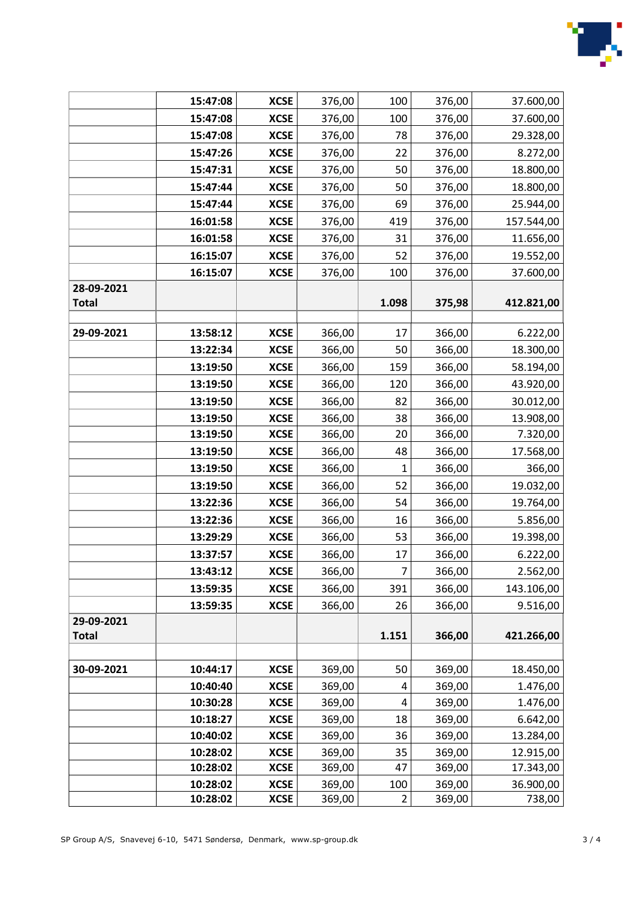

|              | 15:47:08             | <b>XCSE</b> | 376,00 | 100            | 376,00 | 37.600,00  |
|--------------|----------------------|-------------|--------|----------------|--------|------------|
|              | 15:47:08             | <b>XCSE</b> | 376,00 | 100            | 376,00 | 37.600,00  |
|              | 15:47:08             | <b>XCSE</b> | 376,00 | 78             | 376,00 | 29.328,00  |
|              | 15:47:26             | <b>XCSE</b> | 376,00 | 22             | 376,00 | 8.272,00   |
|              | 15:47:31             | <b>XCSE</b> | 376,00 | 50             | 376,00 | 18.800,00  |
|              | 15:47:44             | <b>XCSE</b> | 376,00 | 50             | 376,00 | 18.800,00  |
|              | 15:47:44             | <b>XCSE</b> | 376,00 | 69             | 376,00 | 25.944,00  |
|              | 16:01:58             | <b>XCSE</b> | 376,00 | 419            | 376,00 | 157.544,00 |
|              | 16:01:58             | <b>XCSE</b> | 376,00 | 31             | 376,00 | 11.656,00  |
|              | 16:15:07             | <b>XCSE</b> | 376,00 | 52             | 376,00 | 19.552,00  |
|              | 16:15:07             | <b>XCSE</b> | 376,00 | 100            | 376,00 | 37.600,00  |
| 28-09-2021   |                      |             |        |                |        |            |
| <b>Total</b> |                      |             |        | 1.098          | 375,98 | 412.821,00 |
| 29-09-2021   | 13:58:12             | <b>XCSE</b> | 366,00 | 17             | 366,00 | 6.222,00   |
|              | 13:22:34             | <b>XCSE</b> | 366,00 | 50             | 366,00 | 18.300,00  |
|              | 13:19:50             | <b>XCSE</b> | 366,00 | 159            | 366,00 | 58.194,00  |
|              | 13:19:50             | <b>XCSE</b> | 366,00 | 120            | 366,00 | 43.920,00  |
|              | 13:19:50             | <b>XCSE</b> | 366,00 | 82             | 366,00 | 30.012,00  |
|              | 13:19:50             | <b>XCSE</b> | 366,00 | 38             | 366,00 | 13.908,00  |
|              | 13:19:50             | <b>XCSE</b> | 366,00 | 20             | 366,00 | 7.320,00   |
|              | 13:19:50             | <b>XCSE</b> | 366,00 | 48             | 366,00 | 17.568,00  |
|              | 13:19:50             | <b>XCSE</b> | 366,00 | 1              | 366,00 | 366,00     |
|              | 13:19:50             | <b>XCSE</b> | 366,00 | 52             | 366,00 | 19.032,00  |
|              | 13:22:36             | <b>XCSE</b> | 366,00 | 54             | 366,00 | 19.764,00  |
|              | 13:22:36             | <b>XCSE</b> | 366,00 | 16             | 366,00 | 5.856,00   |
|              | 13:29:29             | <b>XCSE</b> | 366,00 | 53             | 366,00 | 19.398,00  |
|              | 13:37:57             | <b>XCSE</b> | 366,00 | 17             | 366,00 | 6.222,00   |
|              | 13:43:12             | <b>XCSE</b> | 366,00 | 7              | 366,00 | 2.562,00   |
|              | 13:59:35             | <b>XCSE</b> | 366,00 | 391            | 366,00 | 143.106,00 |
|              | 13:59:35             | <b>XCSE</b> | 366,00 | 26             | 366,00 | 9.516,00   |
| 29-09-2021   |                      |             |        |                |        |            |
| <b>Total</b> |                      |             |        | 1.151          | 366,00 | 421.266,00 |
|              |                      |             |        |                |        |            |
| 30-09-2021   | 10:44:17             | <b>XCSE</b> | 369,00 | 50             | 369,00 | 18.450,00  |
|              | 10:40:40             | <b>XCSE</b> | 369,00 | 4              | 369,00 | 1.476,00   |
|              | 10:30:28             | <b>XCSE</b> | 369,00 | 4              | 369,00 | 1.476,00   |
|              | 10:18:27             | <b>XCSE</b> | 369,00 | 18             | 369,00 | 6.642,00   |
|              | 10:40:02             | <b>XCSE</b> | 369,00 | 36             | 369,00 | 13.284,00  |
|              | 10:28:02             | <b>XCSE</b> | 369,00 | 35             | 369,00 | 12.915,00  |
|              | 10:28:02             | <b>XCSE</b> | 369,00 | 47             | 369,00 | 17.343,00  |
|              | 10:28:02<br>10:28:02 | <b>XCSE</b> | 369,00 | 100            | 369,00 | 36.900,00  |
|              |                      | <b>XCSE</b> | 369,00 | $\overline{2}$ | 369,00 | 738,00     |